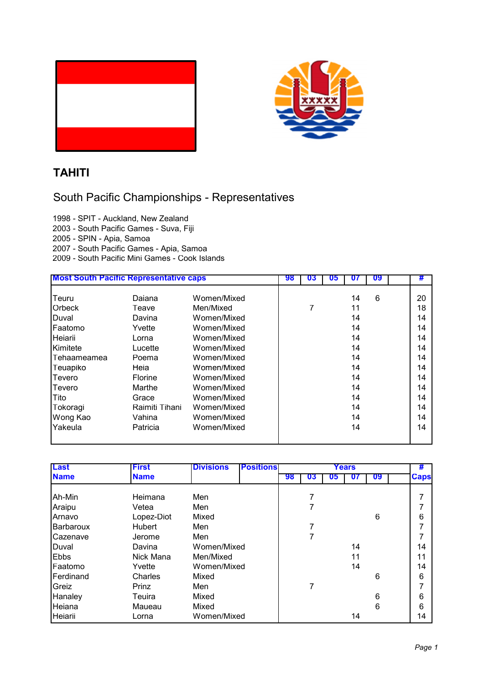

## **TAHITI**

## South Pacific Championships - Representatives

1998 - SPIT - Auckland, New Zealand 2003 - South Pacific Games - Suva, Fiji 2005 - SPIN - Apia, Samoa 2007 - South Pacific Games - Apia, Samoa

2009 - South Pacific Mini Games - Cook Islands

| <b>Most South Pacific Representative caps</b> |                | 98          | IJЬ |  | 09 | # |    |
|-----------------------------------------------|----------------|-------------|-----|--|----|---|----|
| Teuru                                         | Daiana         | Women/Mixed |     |  | 14 | 6 | 20 |
| <b>Orbeck</b>                                 | Teave          | Men/Mixed   |     |  | 11 |   | 18 |
| Duval                                         | Davina         | Women/Mixed |     |  | 14 |   | 14 |
| Faatomo                                       | Yvette         | Women/Mixed |     |  | 14 |   | 14 |
| Heiarii                                       | Lorna          | Women/Mixed |     |  | 14 |   | 14 |
| Kimitete                                      | Lucette        | Women/Mixed |     |  | 14 |   | 14 |
| Tehaameamea                                   | Poema          | Women/Mixed |     |  | 14 |   | 14 |
| Teuapiko                                      | Heia           | Women/Mixed |     |  | 14 |   | 14 |
| <b>Tevero</b>                                 | <b>Florine</b> | Women/Mixed |     |  | 14 |   | 14 |
| Tevero                                        | Marthe         | Women/Mixed |     |  | 14 |   | 14 |
| <b>Tito</b>                                   | Grace          | Women/Mixed |     |  | 14 |   | 14 |
| Tokoragi                                      | Raimiti Tihani | Women/Mixed |     |  | 14 |   | 14 |
| Wong Kao                                      | Vahina         | Women/Mixed |     |  | 14 |   | 14 |
| Yakeula                                       | Patricia       | Women/Mixed |     |  | 14 |   | 14 |

| Last             | <b>First</b> | <b>Divisions</b> | <b>Positions</b> | Years |    |    |    |    | #           |
|------------------|--------------|------------------|------------------|-------|----|----|----|----|-------------|
| <b>Name</b>      | <b>Name</b>  |                  |                  | 98    | 03 | U5 | U7 | 09 | <b>Caps</b> |
| Ah-Min           | Heimana      | Men              |                  |       |    |    |    |    |             |
| Araipu           | Vetea        | Men              |                  |       |    |    |    |    |             |
| Arnavo           | Lopez-Diot   | Mixed            |                  |       |    |    |    | 6  | 6           |
| <b>Barbaroux</b> | Hubert       | Men              |                  |       |    |    |    |    |             |
| <b>Cazenave</b>  | Jerome       | Men              |                  |       |    |    |    |    |             |
| Duval            | Davina       | Women/Mixed      |                  |       |    |    | 14 |    | 14          |
| <b>Ebbs</b>      | Nick Mana    | Men/Mixed        |                  |       |    |    | 11 |    |             |
| Faatomo          | Yvette       | Women/Mixed      |                  |       |    |    | 14 |    | 14          |
| Ferdinand        | Charles      | Mixed            |                  |       |    |    |    | 6  | 6           |
| Greiz            | Prinz        | Men              |                  |       | 7  |    |    |    |             |
| Hanaley          | Teuira       | Mixed            |                  |       |    |    |    | 6  | 6           |
| Heiana           | Maueau       | Mixed            |                  |       |    |    |    | 6  | 6           |
| Heiarii          | Lorna        | Women/Mixed      |                  |       |    |    | 14 |    | 14          |